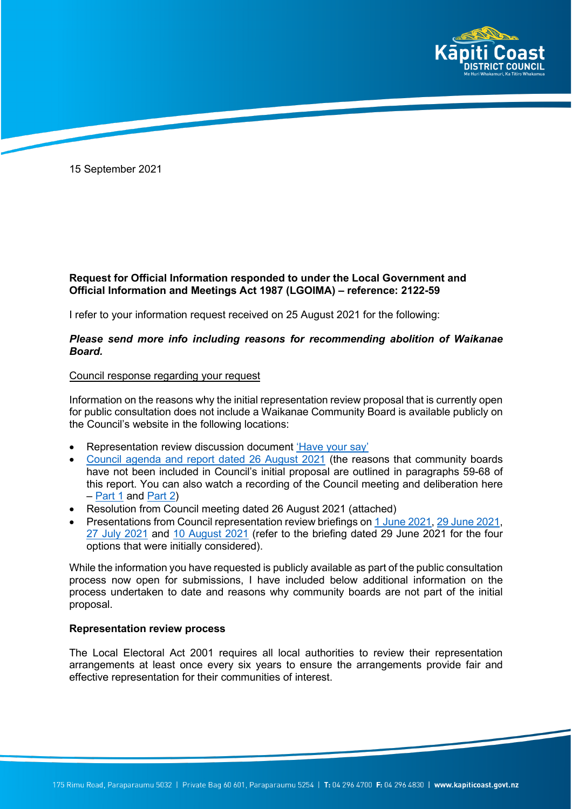

15 September 2021

## **Request for Official Information responded to under the Local Government and Official Information and Meetings Act 1987 (LGOIMA) – reference: 2122-59**

I refer to your information request received on 25 August 2021 for the following:

## *Please send more info including reasons for recommending abolition of Waikanae Board.*

## Council response regarding your request

Information on the reasons why the initial representation review proposal that is currently open for public consultation does not include a Waikanae Community Board is available publicly on the Council's website in the following locations:

- Representation review discussion document ['Have your say'](extension://ieepebpjnkhaiioojkepfniodjmjjihl/data/pdf.js/web/viewer.html?file=https%3A%2F%2Fehq-production-australia.s3.ap-southeast-2.amazonaws.com%2F21c51ef43d391ac5b48e0d49683108a115c07584%2Foriginal%2F1630548893%2F18fa191b6ac6592a173af94ed9ed10a7_Representation-review-fresh-look-local-democracy-booklet.pdf%3FX-Amz-Algorithm%3DAWS4-HMAC-SHA256%26X-Amz-Credential%3DAKIAIBJCUKKD4ZO4WUUA%252F20210915%252Fap-southeast-2%252Fs3%252Faws4_request%26X-Amz-Date%3D20210915T021241Z%26X-Amz-Expires%3D300%26X-Amz-SignedHeaders%3Dhost%26X-Amz-Signature%3Db7bccce5575c7eaf5e740a9cd5592ac7994276a6ed201fe3fe122f3004e01c24)
- [Council agenda and report dated 26 August 2021](https://kapiticoast.infocouncil.biz/Open/2021/08/CO_20210826_AGN_2304_AT_WEB.htm) (the reasons that community boards have not been included in Council's initial proposal are outlined in paragraphs 59-68 of this report. You can also watch a recording of the Council meeting and deliberation here – [Part 1](https://www.youtube.com/watch?v=Lumxwdax0Oc) and [Part 2\)](https://www.youtube.com/watch?v=Q7iStfpjuOg)
- Resolution from Council meeting dated 26 August 2021 (attached)
- Presentations from Council representation review briefings on [1 June 2021,](https://www.kapiticoast.govt.nz/media/40270/council-briefing-presentation-01-jun-21.pdf) [29 June 2021,](https://www.kapiticoast.govt.nz/media/40273/council-briefing-presentation-29-jun-21.pdf) [27 July 2021](https://www.kapiticoast.govt.nz/media/40272/council-briefing-presentation-27-jul-21.pdf) and [10 August 2021](https://www.kapiticoast.govt.nz/media/40271/council-briefing-presentation-10-aug-21.pdf) (refer to the briefing dated 29 June 2021 for the four options that were initially considered).

While the information you have requested is publicly available as part of the public consultation process now open for submissions, I have included below additional information on the process undertaken to date and reasons why community boards are not part of the initial proposal.

## **Representation review process**

The Local Electoral Act 2001 requires all local authorities to review their representation arrangements at least once every six years to ensure the arrangements provide fair and effective representation for their communities of interest.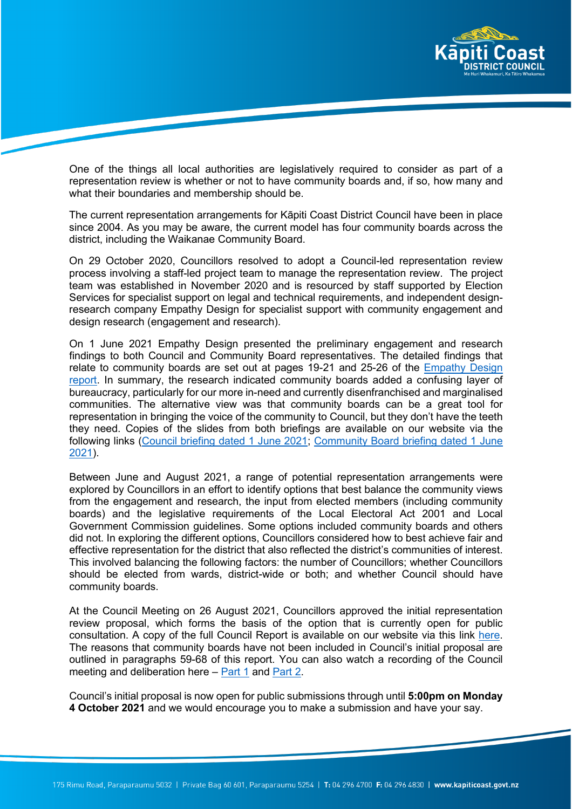

One of the things all local authorities are legislatively required to consider as part of a representation review is whether or not to have community boards and, if so, how many and what their boundaries and membership should be.

The current representation arrangements for Kāpiti Coast District Council have been in place since 2004. As you may be aware, the current model has four community boards across the district, including the Waikanae Community Board.

On 29 October 2020, Councillors resolved to adopt a Council-led representation review process involving a staff-led project team to manage the representation review. The project team was established in November 2020 and is resourced by staff supported by Election Services for specialist support on legal and technical requirements, and independent designresearch company Empathy Design for specialist support with community engagement and design research (engagement and research).

On 1 June 2021 Empathy Design presented the preliminary engagement and research findings to both Council and Community Board representatives. The detailed findings that relate to community boards are set out at pages 19-21 and 25-26 of the **Empathy Design** [report.](extension://ieepebpjnkhaiioojkepfniodjmjjihl/data/pdf.js/web/viewer.html?file=https%3A%2F%2Fwww.kapiticoast.govt.nz%2Fmedia%2F40208%2Fcommunity-voice-for-representation-review-2021.pdf) In summary, the research indicated community boards added a confusing layer of bureaucracy, particularly for our more in-need and currently disenfranchised and marginalised communities. The alternative view was that community boards can be a great tool for representation in bringing the voice of the community to Council, but they don't have the teeth they need. Copies of the slides from both briefings are available on our website via the following links [\(Council briefing dated](extension://ieepebpjnkhaiioojkepfniodjmjjihl/data/pdf.js/web/viewer.html?file=https%3A%2F%2Fwww.kapiticoast.govt.nz%2Fmedia%2F40270%2Fcouncil-briefing-presentation-01-jun-21.pdf) 1 June 2021; [Community Board briefing dated](extension://ieepebpjnkhaiioojkepfniodjmjjihl/data/pdf.js/web/viewer.html?file=https%3A%2F%2Fwww.kapiticoast.govt.nz%2Fmedia%2F40270%2Fcouncil-briefing-presentation-01-jun-21.pdf) 1 June [2021\)](extension://ieepebpjnkhaiioojkepfniodjmjjihl/data/pdf.js/web/viewer.html?file=https%3A%2F%2Fwww.kapiticoast.govt.nz%2Fmedia%2F40270%2Fcouncil-briefing-presentation-01-jun-21.pdf).

Between June and August 2021, a range of potential representation arrangements were explored by Councillors in an effort to identify options that best balance the community views from the engagement and research, the input from elected members (including community boards) and the legislative requirements of the Local Electoral Act 2001 and Local Government Commission guidelines. Some options included community boards and others did not. In exploring the different options, Councillors considered how to best achieve fair and effective representation for the district that also reflected the district's communities of interest. This involved balancing the following factors: the number of Councillors; whether Councillors should be elected from wards, district-wide or both; and whether Council should have community boards.

At the Council Meeting on 26 August 2021, Councillors approved the initial representation review proposal, which forms the basis of the option that is currently open for public consultation. A copy of the full Council Report is available on our website via this link [here.](https://www.kapiticoast.govt.nz/your-council/meetings/meetings/) The reasons that community boards have not been included in Council's initial proposal are outlined in paragraphs 59-68 of this report. You can also watch a recording of the Council meeting and deliberation here – [Part 1](https://www.youtube.com/watch?v=Lumxwdax0Oc) and [Part 2.](https://www.youtube.com/watch?v=Q7iStfpjuOg)

Council's initial proposal is now open for public submissions through until **5:00pm on Monday 4 October 2021** and we would encourage you to make a submission and have your say.